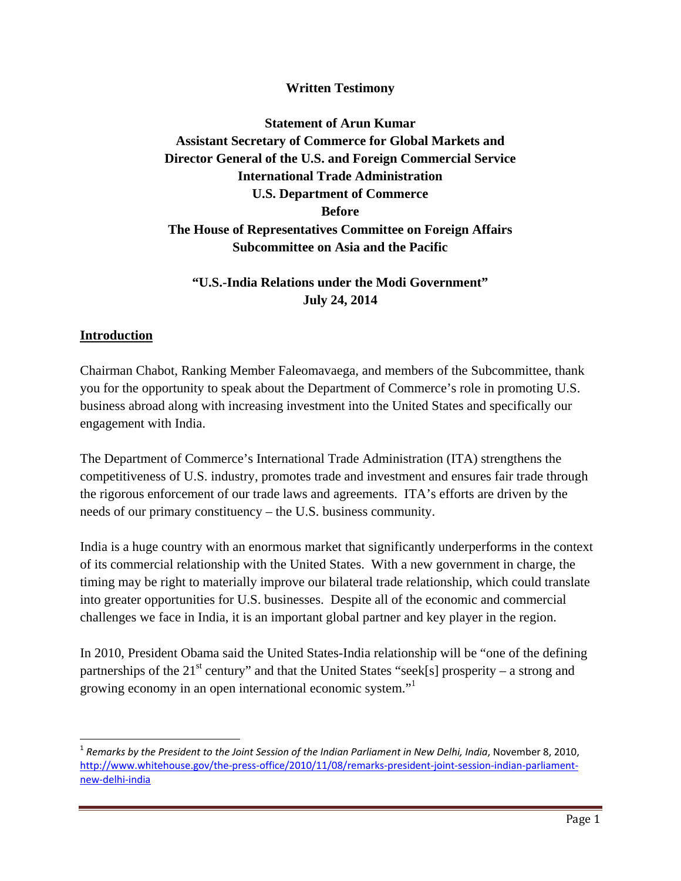#### **Written Testimony**

# **Statement of Arun Kumar Assistant Secretary of Commerce for Global Markets and Director General of the U.S. and Foreign Commercial Service International Trade Administration U.S. Department of Commerce Before The House of Representatives Committee on Foreign Affairs Subcommittee on Asia and the Pacific**

# **"U.S.-India Relations under the Modi Government" July 24, 2014**

#### **Introduction**

Chairman Chabot, Ranking Member Faleomavaega, and members of the Subcommittee, thank you for the opportunity to speak about the Department of Commerce's role in promoting U.S. business abroad along with increasing investment into the United States and specifically our engagement with India.

The Department of Commerce's International Trade Administration (ITA) strengthens the competitiveness of U.S. industry, promotes trade and investment and ensures fair trade through the rigorous enforcement of our trade laws and agreements. ITA's efforts are driven by the needs of our primary constituency – the U.S. business community.

India is a huge country with an enormous market that significantly underperforms in the context of its commercial relationship with the United States. With a new government in charge, the timing may be right to materially improve our bilateral trade relationship, which could translate into greater opportunities for U.S. businesses. Despite all of the economic and commercial challenges we face in India, it is an important global partner and key player in the region.

In 2010, President Obama said the United States-India relationship will be "one of the defining partnerships of the 21<sup>st</sup> century" and that the United States "seek[s] prosperity – a strong and growing economy in an open international economic system."1

<sup>1</sup> *Remarks by the President to the Joint Session of the Indian Parliament in New Delhi, India*, November 8, 2010, http://www.whitehouse.gov/the-press-office/2010/11/08/remarks-president-joint-session-indian-parliamentnew‐delhi‐india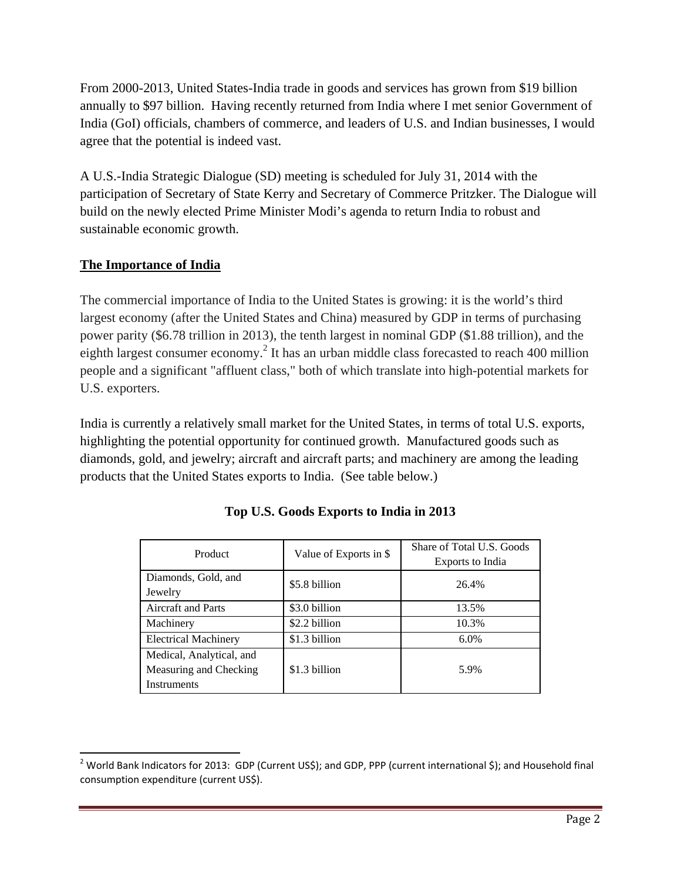From 2000-2013, United States-India trade in goods and services has grown from \$19 billion annually to \$97 billion. Having recently returned from India where I met senior Government of India (GoI) officials, chambers of commerce, and leaders of U.S. and Indian businesses, I would agree that the potential is indeed vast.

A U.S.-India Strategic Dialogue (SD) meeting is scheduled for July 31, 2014 with the participation of Secretary of State Kerry and Secretary of Commerce Pritzker. The Dialogue will build on the newly elected Prime Minister Modi's agenda to return India to robust and sustainable economic growth.

# **The Importance of India**

The commercial importance of India to the United States is growing: it is the world's third largest economy (after the United States and China) measured by GDP in terms of purchasing power parity (\$6.78 trillion in 2013), the tenth largest in nominal GDP (\$1.88 trillion), and the eighth largest consumer economy.<sup>2</sup> It has an urban middle class forecasted to reach 400 million people and a significant "affluent class," both of which translate into high-potential markets for U.S. exporters.

India is currently a relatively small market for the United States, in terms of total U.S. exports, highlighting the potential opportunity for continued growth. Manufactured goods such as diamonds, gold, and jewelry; aircraft and aircraft parts; and machinery are among the leading products that the United States exports to India. (See table below.)

| Product                                                           | Value of Exports in \$ | Share of Total U.S. Goods<br>Exports to India |
|-------------------------------------------------------------------|------------------------|-----------------------------------------------|
| Diamonds, Gold, and<br>Jewelry                                    | \$5.8 billion          | 26.4%                                         |
| <b>Aircraft and Parts</b>                                         | \$3.0 billion          | 13.5%                                         |
| Machinery                                                         | \$2.2 billion          | 10.3%                                         |
| <b>Electrical Machinery</b>                                       | \$1.3 billion          | 6.0%                                          |
| Medical, Analytical, and<br>Measuring and Checking<br>Instruments | \$1.3 billion          | 5.9%                                          |

# **Top U.S. Goods Exports to India in 2013**

 <sup>2</sup> World Bank Indicators for 2013: GDP (Current US\$); and GDP, PPP (current international \$); and Household final consumption expenditure (current US\$).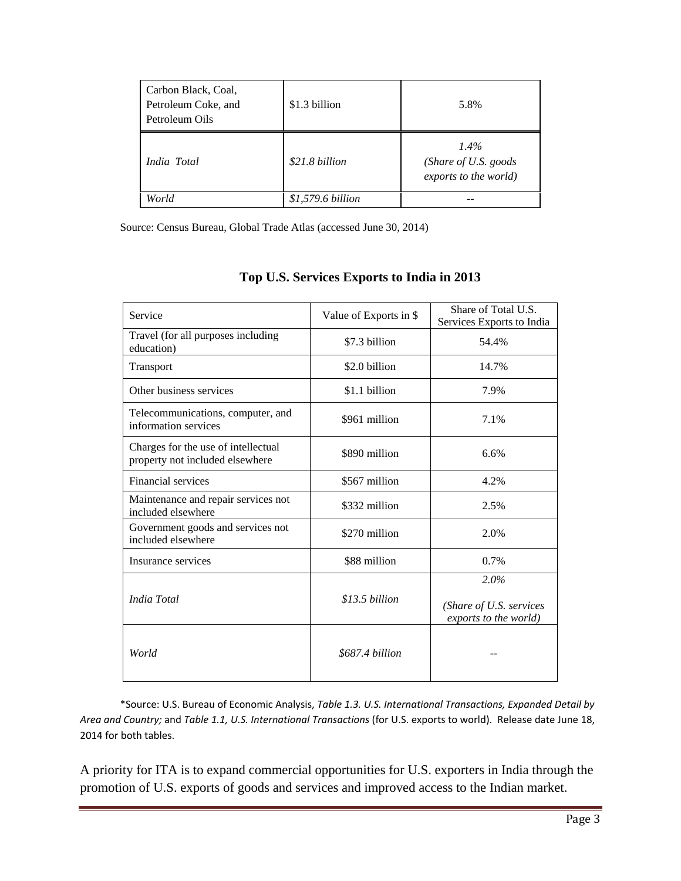| Carbon Black, Coal,<br>Petroleum Coke, and<br>Petroleum Oils | \$1.3 billion     | 5.8%                                                      |
|--------------------------------------------------------------|-------------------|-----------------------------------------------------------|
| India Total                                                  | \$21.8 billion    | $1.4\%$<br>(Share of U.S. goods)<br>exports to the world) |
| World                                                        | \$1,579.6 billion |                                                           |

Source: Census Bureau, Global Trade Atlas (accessed June 30, 2014)

| Service                                                                | Value of Exports in \$ | Share of Total U.S.<br>Services Exports to India         |
|------------------------------------------------------------------------|------------------------|----------------------------------------------------------|
| Travel (for all purposes including<br>education)                       | \$7.3 billion          | 54.4%                                                    |
| Transport                                                              | \$2.0 billion          | 14.7%                                                    |
| Other business services                                                | \$1.1 billion          | 7.9%                                                     |
| Telecommunications, computer, and<br>information services              | \$961 million          | 7.1%                                                     |
| Charges for the use of intellectual<br>property not included elsewhere | \$890 million          | 6.6%                                                     |
| Financial services                                                     | \$567 million          | 4.2%                                                     |
| Maintenance and repair services not<br>included elsewhere              | \$332 million          | 2.5%                                                     |
| Government goods and services not<br>included elsewhere                | \$270 million          | 2.0%                                                     |
| Insurance services                                                     | \$88 million           | 0.7%                                                     |
| India Total                                                            | $$13.5\, billion$      | 2.0%<br>(Share of U.S. services<br>exports to the world) |
| World                                                                  | \$687.4 billion        |                                                          |

#### **Top U.S. Services Exports to India in 2013**

\*Source: U.S. Bureau of Economic Analysis, *Table 1.3. U.S. International Transactions, Expanded Detail by Area and Country;* and *Table 1.1, U.S. International Transactions* (for U.S. exports to world). Release date June 18, 2014 for both tables.

A priority for ITA is to expand commercial opportunities for U.S. exporters in India through the promotion of U.S. exports of goods and services and improved access to the Indian market.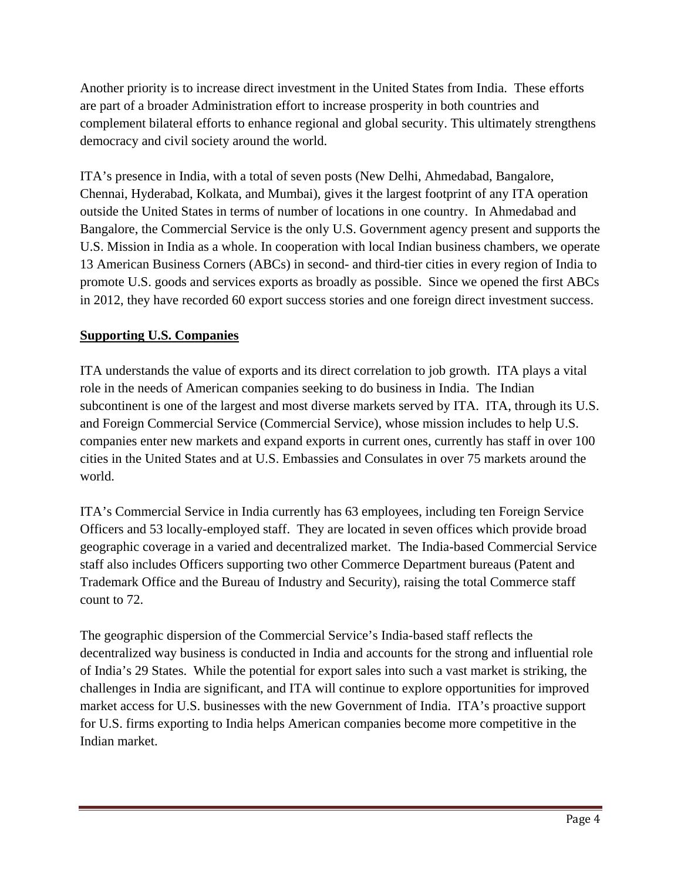Another priority is to increase direct investment in the United States from India. These efforts are part of a broader Administration effort to increase prosperity in both countries and complement bilateral efforts to enhance regional and global security. This ultimately strengthens democracy and civil society around the world.

ITA's presence in India, with a total of seven posts (New Delhi, Ahmedabad, Bangalore, Chennai, Hyderabad, Kolkata, and Mumbai), gives it the largest footprint of any ITA operation outside the United States in terms of number of locations in one country. In Ahmedabad and Bangalore, the Commercial Service is the only U.S. Government agency present and supports the U.S. Mission in India as a whole. In cooperation with local Indian business chambers, we operate 13 American Business Corners (ABCs) in second- and third-tier cities in every region of India to promote U.S. goods and services exports as broadly as possible. Since we opened the first ABCs in 2012, they have recorded 60 export success stories and one foreign direct investment success.

# **Supporting U.S. Companies**

ITA understands the value of exports and its direct correlation to job growth. ITA plays a vital role in the needs of American companies seeking to do business in India. The Indian subcontinent is one of the largest and most diverse markets served by ITA. ITA, through its U.S. and Foreign Commercial Service (Commercial Service), whose mission includes to help U.S. companies enter new markets and expand exports in current ones, currently has staff in over 100 cities in the United States and at U.S. Embassies and Consulates in over 75 markets around the world.

ITA's Commercial Service in India currently has 63 employees, including ten Foreign Service Officers and 53 locally-employed staff. They are located in seven offices which provide broad geographic coverage in a varied and decentralized market. The India-based Commercial Service staff also includes Officers supporting two other Commerce Department bureaus (Patent and Trademark Office and the Bureau of Industry and Security), raising the total Commerce staff count to 72.

The geographic dispersion of the Commercial Service's India-based staff reflects the decentralized way business is conducted in India and accounts for the strong and influential role of India's 29 States. While the potential for export sales into such a vast market is striking, the challenges in India are significant, and ITA will continue to explore opportunities for improved market access for U.S. businesses with the new Government of India. ITA's proactive support for U.S. firms exporting to India helps American companies become more competitive in the Indian market.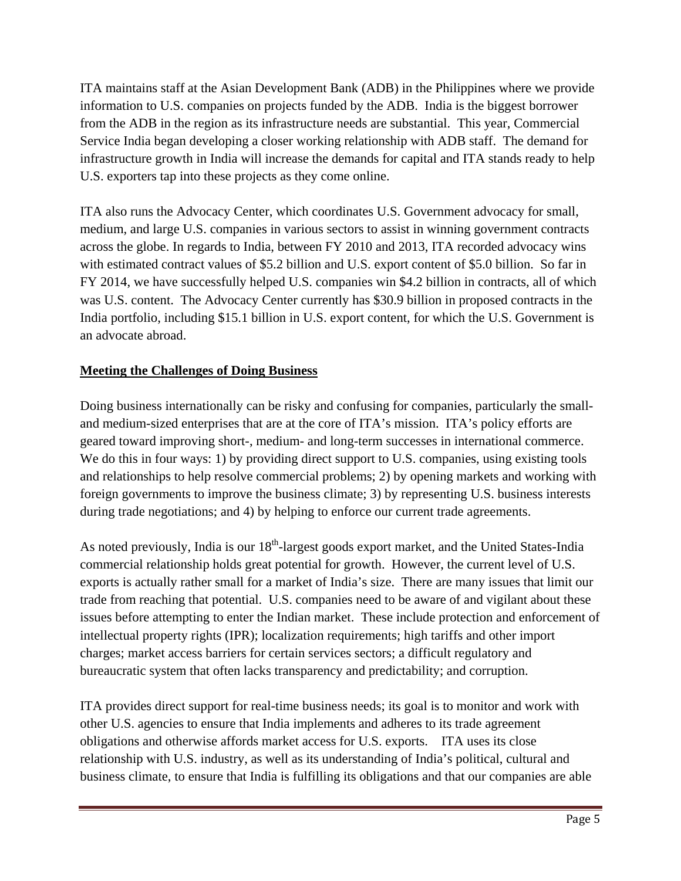ITA maintains staff at the Asian Development Bank (ADB) in the Philippines where we provide information to U.S. companies on projects funded by the ADB. India is the biggest borrower from the ADB in the region as its infrastructure needs are substantial. This year, Commercial Service India began developing a closer working relationship with ADB staff. The demand for infrastructure growth in India will increase the demands for capital and ITA stands ready to help U.S. exporters tap into these projects as they come online.

ITA also runs the Advocacy Center, which coordinates U.S. Government advocacy for small, medium, and large U.S. companies in various sectors to assist in winning government contracts across the globe. In regards to India, between FY 2010 and 2013, ITA recorded advocacy wins with estimated contract values of \$5.2 billion and U.S. export content of \$5.0 billion. So far in FY 2014, we have successfully helped U.S. companies win \$4.2 billion in contracts, all of which was U.S. content. The Advocacy Center currently has \$30.9 billion in proposed contracts in the India portfolio, including \$15.1 billion in U.S. export content, for which the U.S. Government is an advocate abroad.

### **Meeting the Challenges of Doing Business**

Doing business internationally can be risky and confusing for companies, particularly the smalland medium-sized enterprises that are at the core of ITA's mission. ITA's policy efforts are geared toward improving short-, medium- and long-term successes in international commerce. We do this in four ways: 1) by providing direct support to U.S. companies, using existing tools and relationships to help resolve commercial problems; 2) by opening markets and working with foreign governments to improve the business climate; 3) by representing U.S. business interests during trade negotiations; and 4) by helping to enforce our current trade agreements.

As noted previously, India is our  $18<sup>th</sup>$ -largest goods export market, and the United States-India commercial relationship holds great potential for growth. However, the current level of U.S. exports is actually rather small for a market of India's size. There are many issues that limit our trade from reaching that potential. U.S. companies need to be aware of and vigilant about these issues before attempting to enter the Indian market. These include protection and enforcement of intellectual property rights (IPR); localization requirements; high tariffs and other import charges; market access barriers for certain services sectors; a difficult regulatory and bureaucratic system that often lacks transparency and predictability; and corruption.

ITA provides direct support for real-time business needs; its goal is to monitor and work with other U.S. agencies to ensure that India implements and adheres to its trade agreement obligations and otherwise affords market access for U.S. exports. ITA uses its close relationship with U.S. industry, as well as its understanding of India's political, cultural and business climate, to ensure that India is fulfilling its obligations and that our companies are able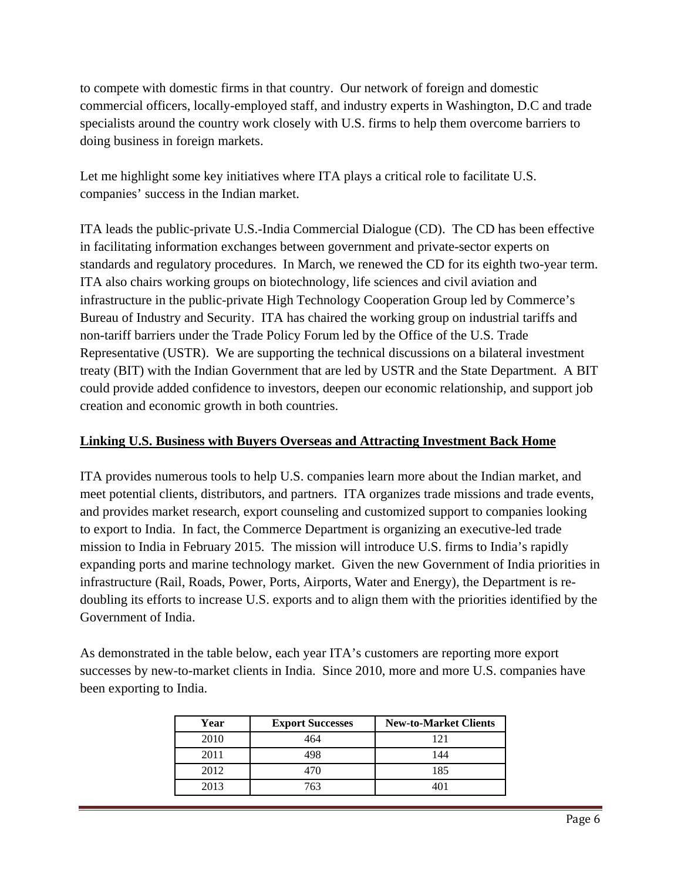to compete with domestic firms in that country. Our network of foreign and domestic commercial officers, locally-employed staff, and industry experts in Washington, D.C and trade specialists around the country work closely with U.S. firms to help them overcome barriers to doing business in foreign markets.

Let me highlight some key initiatives where ITA plays a critical role to facilitate U.S. companies' success in the Indian market.

ITA leads the public-private U.S.-India Commercial Dialogue (CD). The CD has been effective in facilitating information exchanges between government and private-sector experts on standards and regulatory procedures. In March, we renewed the CD for its eighth two-year term. ITA also chairs working groups on biotechnology, life sciences and civil aviation and infrastructure in the public-private High Technology Cooperation Group led by Commerce's Bureau of Industry and Security. ITA has chaired the working group on industrial tariffs and non-tariff barriers under the Trade Policy Forum led by the Office of the U.S. Trade Representative (USTR). We are supporting the technical discussions on a bilateral investment treaty (BIT) with the Indian Government that are led by USTR and the State Department. A BIT could provide added confidence to investors, deepen our economic relationship, and support job creation and economic growth in both countries.

## **Linking U.S. Business with Buyers Overseas and Attracting Investment Back Home**

ITA provides numerous tools to help U.S. companies learn more about the Indian market, and meet potential clients, distributors, and partners. ITA organizes trade missions and trade events, and provides market research, export counseling and customized support to companies looking to export to India. In fact, the Commerce Department is organizing an executive-led trade mission to India in February 2015. The mission will introduce U.S. firms to India's rapidly expanding ports and marine technology market. Given the new Government of India priorities in infrastructure (Rail, Roads, Power, Ports, Airports, Water and Energy), the Department is redoubling its efforts to increase U.S. exports and to align them with the priorities identified by the Government of India.

As demonstrated in the table below, each year ITA's customers are reporting more export successes by new-to-market clients in India. Since 2010, more and more U.S. companies have been exporting to India.

| Year | <b>Export Successes</b> | <b>New-to-Market Clients</b> |
|------|-------------------------|------------------------------|
| 2010 | 464                     | 121                          |
| 2011 | 498                     | 144                          |
| 2012 | 470                     | 185                          |
| 2013 | 763                     | 101                          |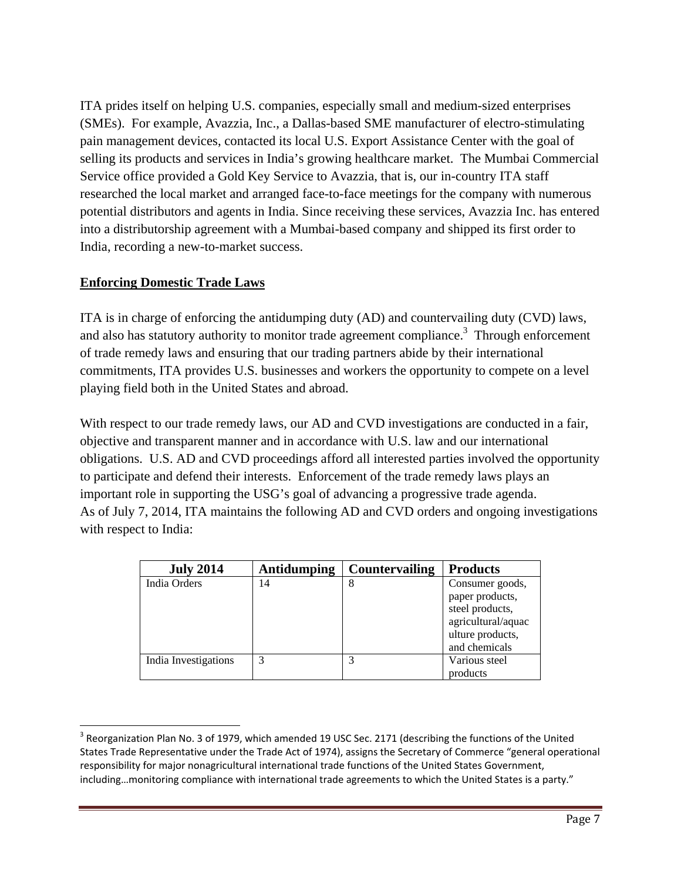ITA prides itself on helping U.S. companies, especially small and medium-sized enterprises (SMEs). For example, Avazzia, Inc., a Dallas-based SME manufacturer of electro-stimulating pain management devices, contacted its local U.S. Export Assistance Center with the goal of selling its products and services in India's growing healthcare market. The Mumbai Commercial Service office provided a Gold Key Service to Avazzia, that is, our in-country ITA staff researched the local market and arranged face-to-face meetings for the company with numerous potential distributors and agents in India. Since receiving these services, Avazzia Inc. has entered into a distributorship agreement with a Mumbai-based company and shipped its first order to India, recording a new-to-market success.

### **Enforcing Domestic Trade Laws**

ITA is in charge of enforcing the antidumping duty (AD) and countervailing duty (CVD) laws, and also has statutory authority to monitor trade agreement compliance.<sup>3</sup> Through enforcement of trade remedy laws and ensuring that our trading partners abide by their international commitments, ITA provides U.S. businesses and workers the opportunity to compete on a level playing field both in the United States and abroad.

With respect to our trade remedy laws, our AD and CVD investigations are conducted in a fair, objective and transparent manner and in accordance with U.S. law and our international obligations. U.S. AD and CVD proceedings afford all interested parties involved the opportunity to participate and defend their interests. Enforcement of the trade remedy laws plays an important role in supporting the USG's goal of advancing a progressive trade agenda. As of July 7, 2014, ITA maintains the following AD and CVD orders and ongoing investigations with respect to India:

| <b>July 2014</b>     | Antidumping | <b>Countervailing</b> | <b>Products</b>                                         |
|----------------------|-------------|-----------------------|---------------------------------------------------------|
| India Orders         | 14          | 8                     | Consumer goods,<br>paper products,<br>steel products,   |
|                      |             |                       | agricultural/aquac<br>ulture products,<br>and chemicals |
| India Investigations | 3           | 3                     | Various steel                                           |
|                      |             |                       | products                                                |

 $3$  Reorganization Plan No. 3 of 1979, which amended 19 USC Sec. 2171 (describing the functions of the United States Trade Representative under the Trade Act of 1974), assigns the Secretary of Commerce "general operational responsibility for major nonagricultural international trade functions of the United States Government, including…monitoring compliance with international trade agreements to which the United States is a party."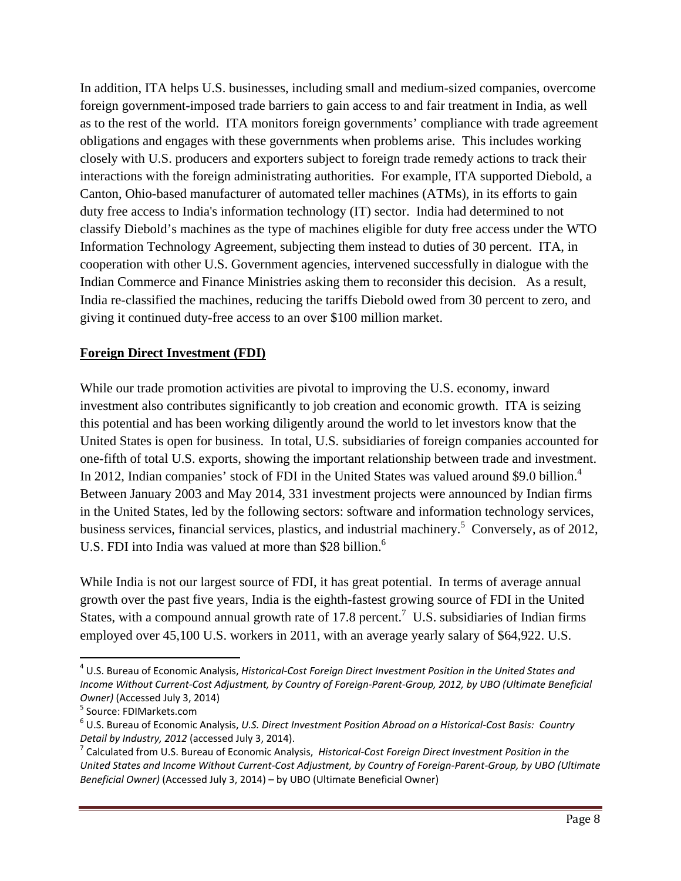In addition, ITA helps U.S. businesses, including small and medium-sized companies, overcome foreign government-imposed trade barriers to gain access to and fair treatment in India, as well as to the rest of the world. ITA monitors foreign governments' compliance with trade agreement obligations and engages with these governments when problems arise. This includes working closely with U.S. producers and exporters subject to foreign trade remedy actions to track their interactions with the foreign administrating authorities. For example, ITA supported Diebold, a Canton, Ohio-based manufacturer of automated teller machines (ATMs), in its efforts to gain duty free access to India's information technology (IT) sector. India had determined to not classify Diebold's machines as the type of machines eligible for duty free access under the WTO Information Technology Agreement, subjecting them instead to duties of 30 percent. ITA, in cooperation with other U.S. Government agencies, intervened successfully in dialogue with the Indian Commerce and Finance Ministries asking them to reconsider this decision. As a result, India re-classified the machines, reducing the tariffs Diebold owed from 30 percent to zero, and giving it continued duty-free access to an over \$100 million market.

### **Foreign Direct Investment (FDI)**

While our trade promotion activities are pivotal to improving the U.S. economy, inward investment also contributes significantly to job creation and economic growth. ITA is seizing this potential and has been working diligently around the world to let investors know that the United States is open for business. In total, U.S. subsidiaries of foreign companies accounted for one-fifth of total U.S. exports, showing the important relationship between trade and investment. In 2012, Indian companies' stock of FDI in the United States was valued around \$9.0 billion.<sup>4</sup> Between January 2003 and May 2014, 331 investment projects were announced by Indian firms in the United States, led by the following sectors: software and information technology services, business services, financial services, plastics, and industrial machinery.<sup>5</sup> Conversely, as of 2012, U.S. FDI into India was valued at more than \$28 billion.<sup>6</sup>

While India is not our largest source of FDI, it has great potential. In terms of average annual growth over the past five years, India is the eighth-fastest growing source of FDI in the United States, with a compound annual growth rate of 17.8 percent.<sup>7</sup> U.S. subsidiaries of Indian firms employed over 45,100 U.S. workers in 2011, with an average yearly salary of \$64,922. U.S.

<sup>4</sup> U.S. Bureau of Economic Analysis, *Historical‐Cost Foreign Direct Investment Position in the United States and* Income Without Current-Cost Adjustment, by Country of Foreign-Parent-Group, 2012, by UBO (Ultimate Beneficial Owner) (Accessed July 3, 2014)<br><sup>5</sup> Source: FDIMarkets.com<br><sup>6</sup> U.S. Bureau of Economic Analysis, *U.S. Direct Investment Position Abroad on a Historical-Cost Basis: Country* 

Detail by Industry, 2012 (accessed July 3, 2014).<br><sup>7</sup> Calculated from U.S. Bureau of Economic Analysis, Historical-Cost Foreign Direct Investment Position in the

United States and Income Without Current-Cost Adjustment, by Country of Foreign-Parent-Group, by UBO (Ultimate *Beneficial Owner)* (Accessed July 3, 2014) – by UBO (Ultimate Beneficial Owner)